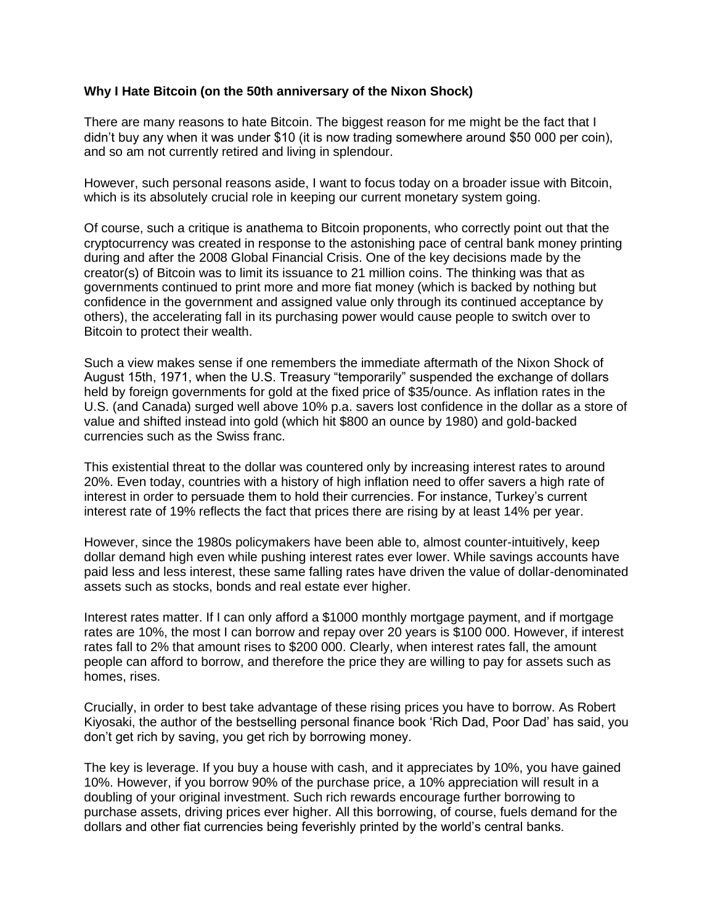## **Why I Hate Bitcoin (on the 50th anniversary of the Nixon Shock)**

There are many reasons to hate Bitcoin. The biggest reason for me might be the fact that I didn't buy any when it was under \$10 (it is now trading somewhere around \$50 000 per coin), and so am not currently retired and living in splendour.

However, such personal reasons aside, I want to focus today on a broader issue with Bitcoin, which is its absolutely crucial role in keeping our current monetary system going.

Of course, such a critique is anathema to Bitcoin proponents, who correctly point out that the cryptocurrency was created in response to the astonishing pace of central bank money printing during and after the 2008 Global Financial Crisis. One of the key decisions made by the creator(s) of Bitcoin was to limit its issuance to 21 million coins. The thinking was that as governments continued to print more and more fiat money (which is backed by nothing but confidence in the government and assigned value only through its continued acceptance by others), the accelerating fall in its purchasing power would cause people to switch over to Bitcoin to protect their wealth.

Such a view makes sense if one remembers the immediate aftermath of the Nixon Shock of August 15th, 1971, when the U.S. Treasury "temporarily" suspended the exchange of dollars held by foreign governments for gold at the fixed price of \$35/ounce. As inflation rates in the U.S. (and Canada) surged well above 10% p.a. savers lost confidence in the dollar as a store of value and shifted instead into gold (which hit \$800 an ounce by 1980) and gold-backed currencies such as the Swiss franc.

This existential threat to the dollar was countered only by increasing interest rates to around 20%. Even today, countries with a history of high inflation need to offer savers a high rate of interest in order to persuade them to hold their currencies. For instance, Turkey's current interest rate of 19% reflects the fact that prices there are rising by at least 14% per year.

However, since the 1980s policymakers have been able to, almost counter-intuitively, keep dollar demand high even while pushing interest rates ever lower. While savings accounts have paid less and less interest, these same falling rates have driven the value of dollar-denominated assets such as stocks, bonds and real estate ever higher.

Interest rates matter. If I can only afford a \$1000 monthly mortgage payment, and if mortgage rates are 10%, the most I can borrow and repay over 20 years is \$100 000. However, if interest rates fall to 2% that amount rises to \$200 000. Clearly, when interest rates fall, the amount people can afford to borrow, and therefore the price they are willing to pay for assets such as homes, rises.

Crucially, in order to best take advantage of these rising prices you have to borrow. As Robert Kiyosaki, the author of the bestselling personal finance book 'Rich Dad, Poor Dad' has said, you don't get rich by saving, you get rich by borrowing money.

The key is leverage. If you buy a house with cash, and it appreciates by 10%, you have gained 10%. However, if you borrow 90% of the purchase price, a 10% appreciation will result in a doubling of your original investment. Such rich rewards encourage further borrowing to purchase assets, driving prices ever higher. All this borrowing, of course, fuels demand for the dollars and other fiat currencies being feverishly printed by the world's central banks.